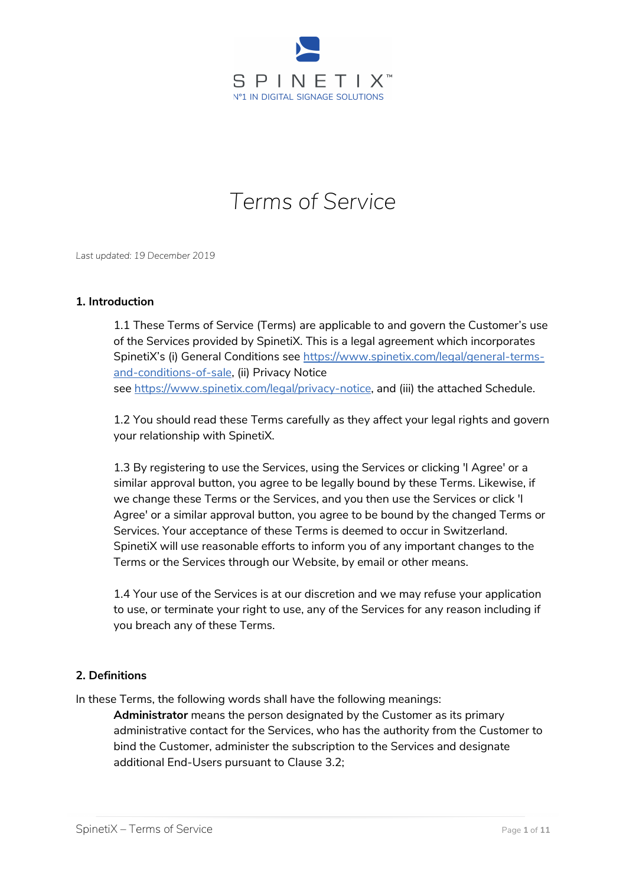

# *Terms of Service*

*Last updated: 19 December 2019*

#### **1. Introduction**

1.1 These Terms of Service (Terms) are applicable to and govern the Customer's use of the Services provided by SpinetiX. This is a legal agreement which incorporates SpinetiX's (i) General Conditions see [https://www.spinetix.com/legal/general-terms](https://www.spinetix.com/legal/general-terms-and-conditions-of-sale)[and-conditions-of-sale,](https://www.spinetix.com/legal/general-terms-and-conditions-of-sale) (ii) Privacy Notice see [https://www.spinetix.com/legal/privacy-notice,](https://www.spinetix.com/legal/privacy-notice) and (iii) the attached Schedule.

1.2 You should read these Terms carefully as they affect your legal rights and govern your relationship with SpinetiX.

1.3 By registering to use the Services, using the Services or clicking 'I Agree' or a similar approval button, you agree to be legally bound by these Terms. Likewise, if we change these Terms or the Services, and you then use the Services or click 'I Agree' or a similar approval button, you agree to be bound by the changed Terms or Services. Your acceptance of these Terms is deemed to occur in Switzerland. SpinetiX will use reasonable efforts to inform you of any important changes to the Terms or the Services through our Website, by email or other means.

1.4 Your use of the Services is at our discretion and we may refuse your application to use, or terminate your right to use, any of the Services for any reason including if you breach any of these Terms.

#### **2. Definitions**

In these Terms, the following words shall have the following meanings:

**Administrator** means the person designated by the Customer as its primary administrative contact for the Services, who has the authority from the Customer to bind the Customer, administer the subscription to the Services and designate additional End-Users pursuant to Clause 3.2;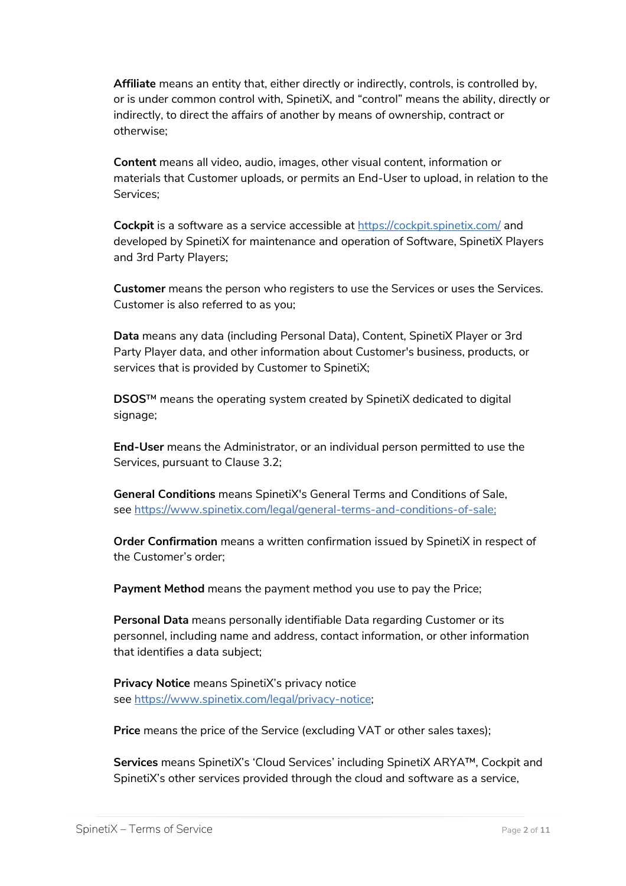**Affiliate** means an entity that, either directly or indirectly, controls, is controlled by, or is under common control with, SpinetiX, and "control" means the ability, directly or indirectly, to direct the affairs of another by means of ownership, contract or otherwise;

**Content** means all video, audio, images, other visual content, information or materials that Customer uploads, or permits an End-User to upload, in relation to the Services;

**Cockpit** is a software as a service accessible at <https://cockpit.spinetix.com/> and developed by SpinetiX for maintenance and operation of Software, SpinetiX Players and 3rd Party Players;

**Customer** means the person who registers to use the Services or uses the Services. Customer is also referred to as you;

**Data** means any data (including Personal Data), Content, SpinetiX Player or 3rd Party Player data, and other information about Customer's business, products, or services that is provided by Customer to SpinetiX;

**DSOS**™ means the operating system created by SpinetiX dedicated to digital signage;

**End-User** means the Administrator, or an individual person permitted to use the Services, pursuant to Clause 3.2;

**General Conditions** means SpinetiX's General Terms and Conditions of Sale, see [https://www.spinetix.com/legal/general-terms-and-conditions-of-sale;](https://www.spinetix.com/legal/general-terms-and-conditions-of-sale)

**Order Confirmation** means a written confirmation issued by SpinetiX in respect of the Customer's order;

**Payment Method** means the payment method you use to pay the Price;

**Personal Data** means personally identifiable Data regarding Customer or its personnel, including name and address, contact information, or other information that identifies a data subject;

**Privacy Notice** means SpinetiX's privacy notice see [https://www.spinetix.com/legal/privacy-notice;](https://www.spinetix.com/legal/privacy-notice)

**Price** means the price of the Service (excluding VAT or other sales taxes);

**Services** means SpinetiX's 'Cloud Services' including SpinetiX ARYA™, Cockpit and SpinetiX's other services provided through the cloud and software as a service,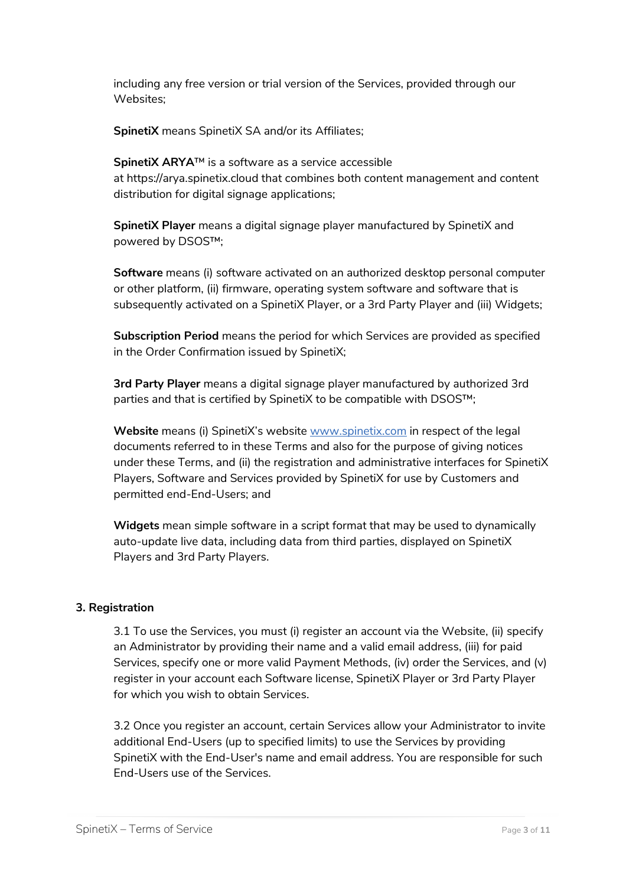including any free version or trial version of the Services, provided through our Websites;

**SpinetiX** means SpinetiX SA and/or its Affiliates;

**SpinetiX ARYA**™ is a software as a service accessible at [https://arya.spinetix.cloud](https://arya.spinetix.cloud/) that combines both content management and content distribution for digital signage applications;

**SpinetiX Player** means a digital signage player manufactured by SpinetiX and powered by DSOS™;

**Software** means (i) software activated on an authorized desktop personal computer or other platform, (ii) firmware, operating system software and software that is subsequently activated on a SpinetiX Player, or a 3rd Party Player and (iii) Widgets;

**Subscription Period** means the period for which Services are provided as specified in the Order Confirmation issued by SpinetiX;

**3rd Party Player** means a digital signage player manufactured by authorized 3rd parties and that is certified by SpinetiX to be compatible with DSOS™;

Website means (i) SpinetiX's website [www.spinetix.com](https://www.spinetix.com/) in respect of the legal documents referred to in these Terms and also for the purpose of giving notices under these Terms, and (ii) the registration and administrative interfaces for SpinetiX Players, Software and Services provided by SpinetiX for use by Customers and permitted end-End-Users; and

**Widgets** mean simple software in a script format that may be used to dynamically auto-update live data, including data from third parties, displayed on SpinetiX Players and 3rd Party Players.

# **3. Registration**

3.1 To use the Services, you must (i) register an account via the Website, (ii) specify an Administrator by providing their name and a valid email address, (iii) for paid Services, specify one or more valid Payment Methods, (iv) order the Services, and (v) register in your account each Software license, SpinetiX Player or 3rd Party Player for which you wish to obtain Services.

3.2 Once you register an account, certain Services allow your Administrator to invite additional End-Users (up to specified limits) to use the Services by providing SpinetiX with the End-User's name and email address. You are responsible for such End-Users use of the Services.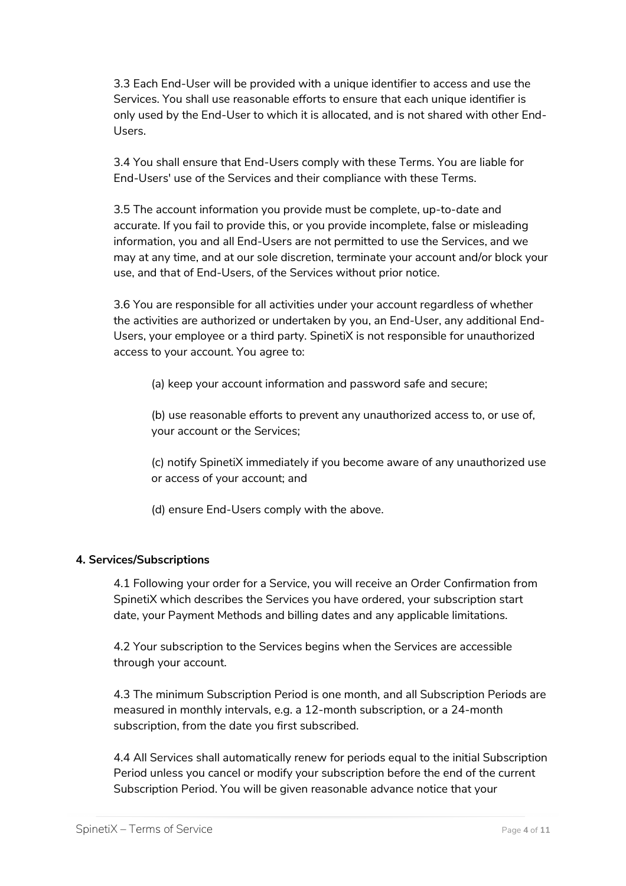3.3 Each End-User will be provided with a unique identifier to access and use the Services. You shall use reasonable efforts to ensure that each unique identifier is only used by the End-User to which it is allocated, and is not shared with other End-Users.

3.4 You shall ensure that End-Users comply with these Terms. You are liable for End-Users' use of the Services and their compliance with these Terms.

3.5 The account information you provide must be complete, up-to-date and accurate. If you fail to provide this, or you provide incomplete, false or misleading information, you and all End-Users are not permitted to use the Services, and we may at any time, and at our sole discretion, terminate your account and/or block your use, and that of End-Users, of the Services without prior notice.

3.6 You are responsible for all activities under your account regardless of whether the activities are authorized or undertaken by you, an End-User, any additional End-Users, your employee or a third party. SpinetiX is not responsible for unauthorized access to your account. You agree to:

(a) keep your account information and password safe and secure;

(b) use reasonable efforts to prevent any unauthorized access to, or use of, your account or the Services;

(c) notify SpinetiX immediately if you become aware of any unauthorized use or access of your account; and

(d) ensure End-Users comply with the above.

# **4. Services/Subscriptions**

4.1 Following your order for a Service, you will receive an Order Confirmation from SpinetiX which describes the Services you have ordered, your subscription start date, your Payment Methods and billing dates and any applicable limitations.

4.2 Your subscription to the Services begins when the Services are accessible through your account.

4.3 The minimum Subscription Period is one month, and all Subscription Periods are measured in monthly intervals, e.g. a 12-month subscription, or a 24-month subscription, from the date you first subscribed.

4.4 All Services shall automatically renew for periods equal to the initial Subscription Period unless you cancel or modify your subscription before the end of the current Subscription Period. You will be given reasonable advance notice that your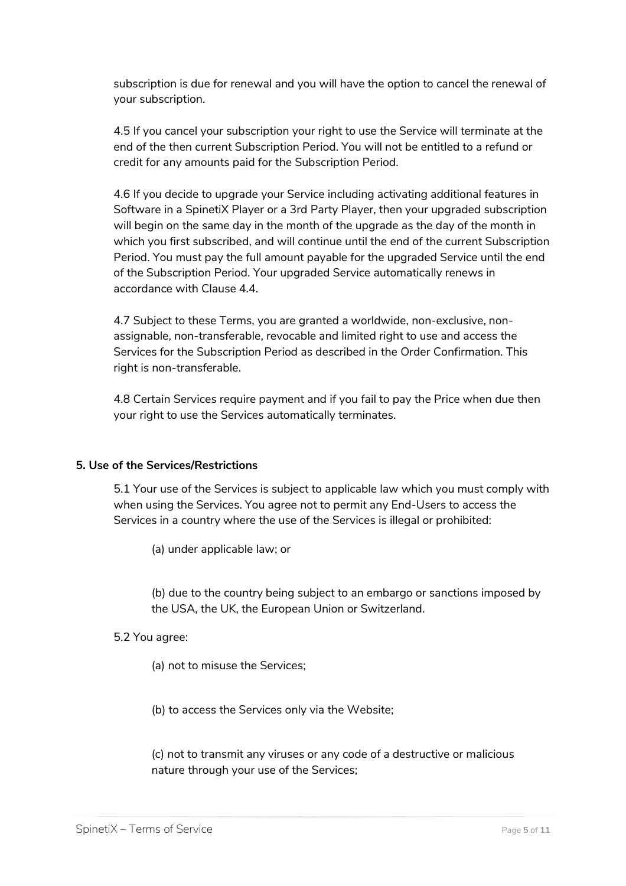subscription is due for renewal and you will have the option to cancel the renewal of your subscription.

4.5 If you cancel your subscription your right to use the Service will terminate at the end of the then current Subscription Period. You will not be entitled to a refund or credit for any amounts paid for the Subscription Period.

4.6 If you decide to upgrade your Service including activating additional features in Software in a SpinetiX Player or a 3rd Party Player, then your upgraded subscription will begin on the same day in the month of the upgrade as the day of the month in which you first subscribed, and will continue until the end of the current Subscription Period. You must pay the full amount payable for the upgraded Service until the end of the Subscription Period. Your upgraded Service automatically renews in accordance with Clause 4.4.

4.7 Subject to these Terms, you are granted a worldwide, non-exclusive, nonassignable, non-transferable, revocable and limited right to use and access the Services for the Subscription Period as described in the Order Confirmation. This right is non-transferable.

4.8 Certain Services require payment and if you fail to pay the Price when due then your right to use the Services automatically terminates.

#### **5. Use of the Services/Restrictions**

5.1 Your use of the Services is subject to applicable law which you must comply with when using the Services. You agree not to permit any End-Users to access the Services in a country where the use of the Services is illegal or prohibited:

(a) under applicable law; or

(b) due to the country being subject to an embargo or sanctions imposed by the USA, the UK, the European Union or Switzerland.

#### 5.2 You agree:

(a) not to misuse the Services;

(b) to access the Services only via the Website;

(c) not to transmit any viruses or any code of a destructive or malicious nature through your use of the Services;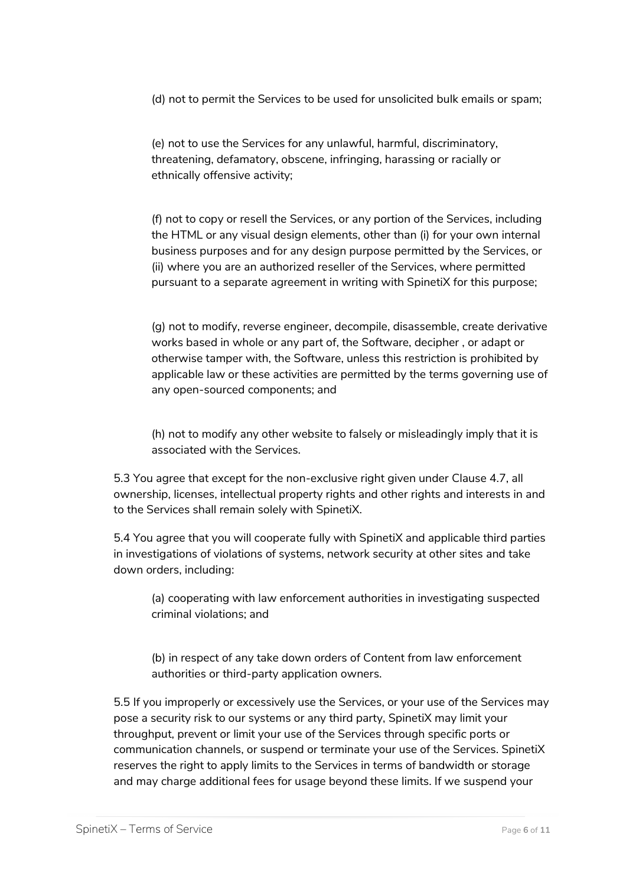(d) not to permit the Services to be used for unsolicited bulk emails or spam;

(e) not to use the Services for any unlawful, harmful, discriminatory, threatening, defamatory, obscene, infringing, harassing or racially or ethnically offensive activity;

(f) not to copy or resell the Services, or any portion of the Services, including the HTML or any visual design elements, other than (i) for your own internal business purposes and for any design purpose permitted by the Services, or (ii) where you are an authorized reseller of the Services, where permitted pursuant to a separate agreement in writing with SpinetiX for this purpose;

(g) not to modify, reverse engineer, decompile, disassemble, create derivative works based in whole or any part of, the Software, decipher , or adapt or otherwise tamper with, the Software, unless this restriction is prohibited by applicable law or these activities are permitted by the terms governing use of any open-sourced components; and

(h) not to modify any other website to falsely or misleadingly imply that it is associated with the Services.

5.3 You agree that except for the non-exclusive right given under Clause 4.7, all ownership, licenses, intellectual property rights and other rights and interests in and to the Services shall remain solely with SpinetiX.

5.4 You agree that you will cooperate fully with SpinetiX and applicable third parties in investigations of violations of systems, network security at other sites and take down orders, including:

(a) cooperating with law enforcement authorities in investigating suspected criminal violations; and

(b) in respect of any take down orders of Content from law enforcement authorities or third-party application owners.

5.5 If you improperly or excessively use the Services, or your use of the Services may pose a security risk to our systems or any third party, SpinetiX may limit your throughput, prevent or limit your use of the Services through specific ports or communication channels, or suspend or terminate your use of the Services. SpinetiX reserves the right to apply limits to the Services in terms of bandwidth or storage and may charge additional fees for usage beyond these limits. If we suspend your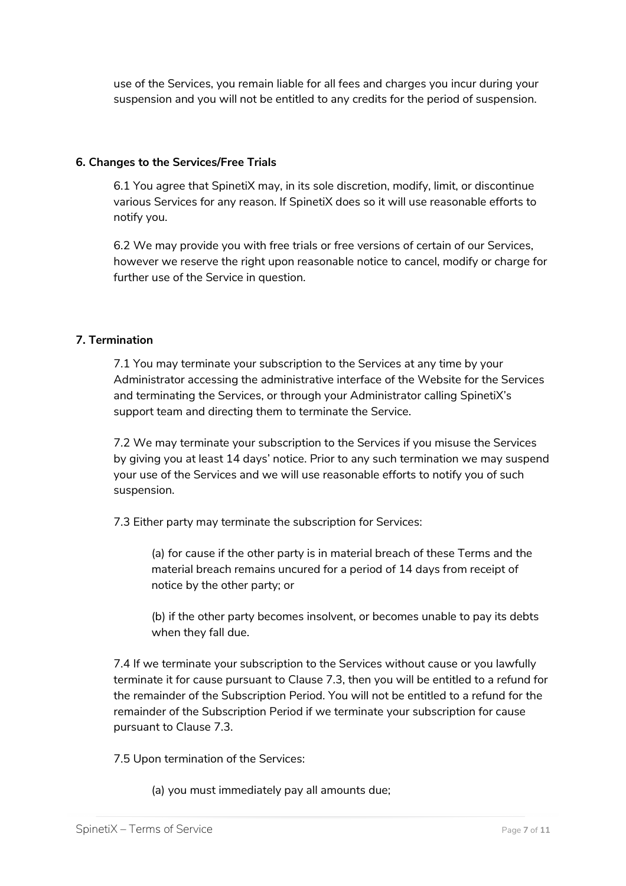use of the Services, you remain liable for all fees and charges you incur during your suspension and you will not be entitled to any credits for the period of suspension.

## **6. Changes to the Services/Free Trials**

6.1 You agree that SpinetiX may, in its sole discretion, modify, limit, or discontinue various Services for any reason. If SpinetiX does so it will use reasonable efforts to notify you.

6.2 We may provide you with free trials or free versions of certain of our Services, however we reserve the right upon reasonable notice to cancel, modify or charge for further use of the Service in question.

## **7. Termination**

7.1 You may terminate your subscription to the Services at any time by your Administrator accessing the administrative interface of the Website for the Services and terminating the Services, or through your Administrator calling SpinetiX's support team and directing them to terminate the Service.

7.2 We may terminate your subscription to the Services if you misuse the Services by giving you at least 14 days' notice. Prior to any such termination we may suspend your use of the Services and we will use reasonable efforts to notify you of such suspension.

7.3 Either party may terminate the subscription for Services:

(a) for cause if the other party is in material breach of these Terms and the material breach remains uncured for a period of 14 days from receipt of notice by the other party; or

(b) if the other party becomes insolvent, or becomes unable to pay its debts when they fall due.

7.4 If we terminate your subscription to the Services without cause or you lawfully terminate it for cause pursuant to Clause 7.3, then you will be entitled to a refund for the remainder of the Subscription Period. You will not be entitled to a refund for the remainder of the Subscription Period if we terminate your subscription for cause pursuant to Clause 7.3.

7.5 Upon termination of the Services:

(a) you must immediately pay all amounts due;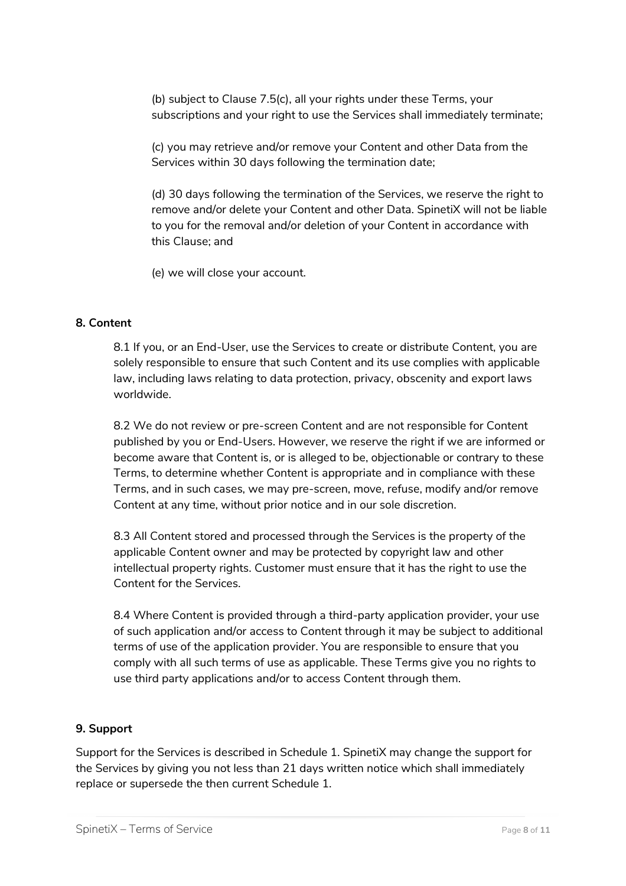(b) subject to Clause 7.5(c), all your rights under these Terms, your subscriptions and your right to use the Services shall immediately terminate;

(c) you may retrieve and/or remove your Content and other Data from the Services within 30 days following the termination date;

(d) 30 days following the termination of the Services, we reserve the right to remove and/or delete your Content and other Data. SpinetiX will not be liable to you for the removal and/or deletion of your Content in accordance with this Clause; and

(e) we will close your account.

#### **8. Content**

8.1 If you, or an End-User, use the Services to create or distribute Content, you are solely responsible to ensure that such Content and its use complies with applicable law, including laws relating to data protection, privacy, obscenity and export laws worldwide.

8.2 We do not review or pre-screen Content and are not responsible for Content published by you or End-Users. However, we reserve the right if we are informed or become aware that Content is, or is alleged to be, objectionable or contrary to these Terms, to determine whether Content is appropriate and in compliance with these Terms, and in such cases, we may pre-screen, move, refuse, modify and/or remove Content at any time, without prior notice and in our sole discretion.

8.3 All Content stored and processed through the Services is the property of the applicable Content owner and may be protected by copyright law and other intellectual property rights. Customer must ensure that it has the right to use the Content for the Services.

8.4 Where Content is provided through a third-party application provider, your use of such application and/or access to Content through it may be subject to additional terms of use of the application provider. You are responsible to ensure that you comply with all such terms of use as applicable. These Terms give you no rights to use third party applications and/or to access Content through them.

#### **9. Support**

Support for the Services is described in Schedule 1. SpinetiX may change the support for the Services by giving you not less than 21 days written notice which shall immediately replace or supersede the then current Schedule 1.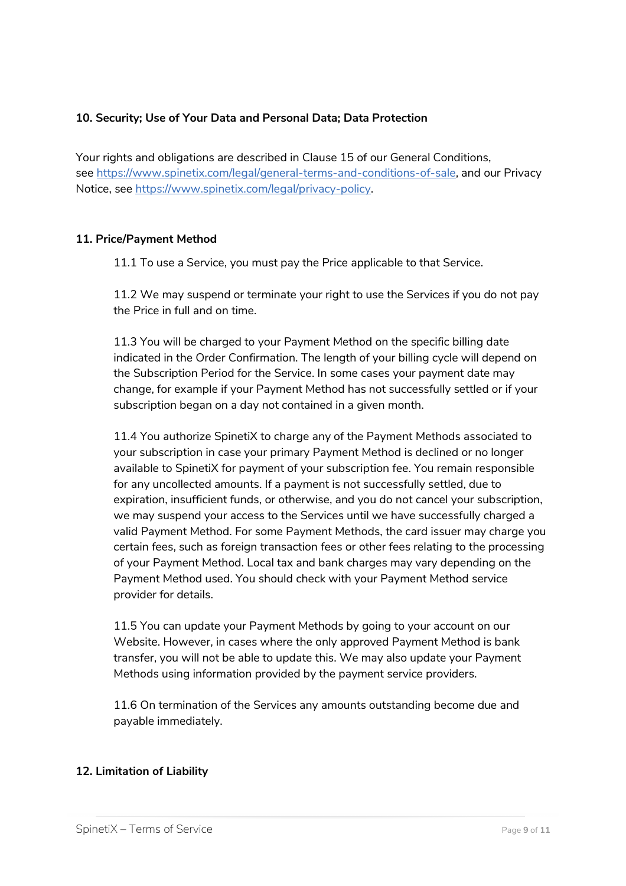## **10. Security; Use of Your Data and Personal Data; Data Protection**

Your rights and obligations are described in Clause 15 of our General Conditions, see [https://www.spinetix.com/legal/general-terms-and-conditions-of-sale,](https://www.spinetix.com/legal/general-terms-and-conditions-of-sale) and our Privacy Notice, see [https://www.spinetix.com/legal/privacy-policy.](https://www.spinetix.com/legal/privacy-policy)

#### **11. Price/Payment Method**

11.1 To use a Service, you must pay the Price applicable to that Service.

11.2 We may suspend or terminate your right to use the Services if you do not pay the Price in full and on time.

11.3 You will be charged to your Payment Method on the specific billing date indicated in the Order Confirmation. The length of your billing cycle will depend on the Subscription Period for the Service. In some cases your payment date may change, for example if your Payment Method has not successfully settled or if your subscription began on a day not contained in a given month.

11.4 You authorize SpinetiX to charge any of the Payment Methods associated to your subscription in case your primary Payment Method is declined or no longer available to SpinetiX for payment of your subscription fee. You remain responsible for any uncollected amounts. If a payment is not successfully settled, due to expiration, insufficient funds, or otherwise, and you do not cancel your subscription, we may suspend your access to the Services until we have successfully charged a valid Payment Method. For some Payment Methods, the card issuer may charge you certain fees, such as foreign transaction fees or other fees relating to the processing of your Payment Method. Local tax and bank charges may vary depending on the Payment Method used. You should check with your Payment Method service provider for details.

11.5 You can update your Payment Methods by going to your account on our Website. However, in cases where the only approved Payment Method is bank transfer, you will not be able to update this. We may also update your Payment Methods using information provided by the payment service providers.

11.6 On termination of the Services any amounts outstanding become due and payable immediately.

#### **12. Limitation of Liability**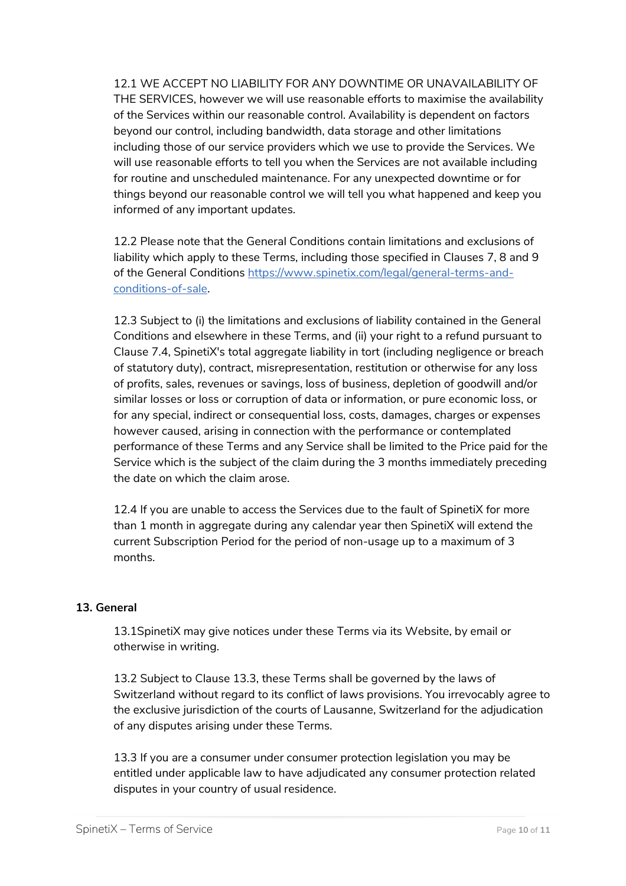12.1 WE ACCEPT NO LIABILITY FOR ANY DOWNTIME OR UNAVAILABILITY OF THE SERVICES, however we will use reasonable efforts to maximise the availability of the Services within our reasonable control. Availability is dependent on factors beyond our control, including bandwidth, data storage and other limitations including those of our service providers which we use to provide the Services. We will use reasonable efforts to tell you when the Services are not available including for routine and unscheduled maintenance. For any unexpected downtime or for things beyond our reasonable control we will tell you what happened and keep you informed of any important updates.

12.2 Please note that the General Conditions contain limitations and exclusions of liability which apply to these Terms, including those specified in Clauses 7, 8 and 9 of the General Conditions [https://www.spinetix.com/legal/general-terms-and](https://www.spinetix.com/legal/general-terms-and-conditions-of-sale)[conditions-of-sale.](https://www.spinetix.com/legal/general-terms-and-conditions-of-sale)

12.3 Subject to (i) the limitations and exclusions of liability contained in the General Conditions and elsewhere in these Terms, and (ii) your right to a refund pursuant to Clause 7.4, SpinetiX's total aggregate liability in tort (including negligence or breach of statutory duty), contract, misrepresentation, restitution or otherwise for any loss of profits, sales, revenues or savings, loss of business, depletion of goodwill and/or similar losses or loss or corruption of data or information, or pure economic loss, or for any special, indirect or consequential loss, costs, damages, charges or expenses however caused, arising in connection with the performance or contemplated performance of these Terms and any Service shall be limited to the Price paid for the Service which is the subject of the claim during the 3 months immediately preceding the date on which the claim arose.

12.4 If you are unable to access the Services due to the fault of SpinetiX for more than 1 month in aggregate during any calendar year then SpinetiX will extend the current Subscription Period for the period of non-usage up to a maximum of 3 months.

#### **13. General**

13.1SpinetiX may give notices under these Terms via its Website, by email or otherwise in writing.

13.2 Subject to Clause 13.3, these Terms shall be governed by the laws of Switzerland without regard to its conflict of laws provisions. You irrevocably agree to the exclusive jurisdiction of the courts of Lausanne, Switzerland for the adjudication of any disputes arising under these Terms.

13.3 If you are a consumer under consumer protection legislation you may be entitled under applicable law to have adjudicated any consumer protection related disputes in your country of usual residence.